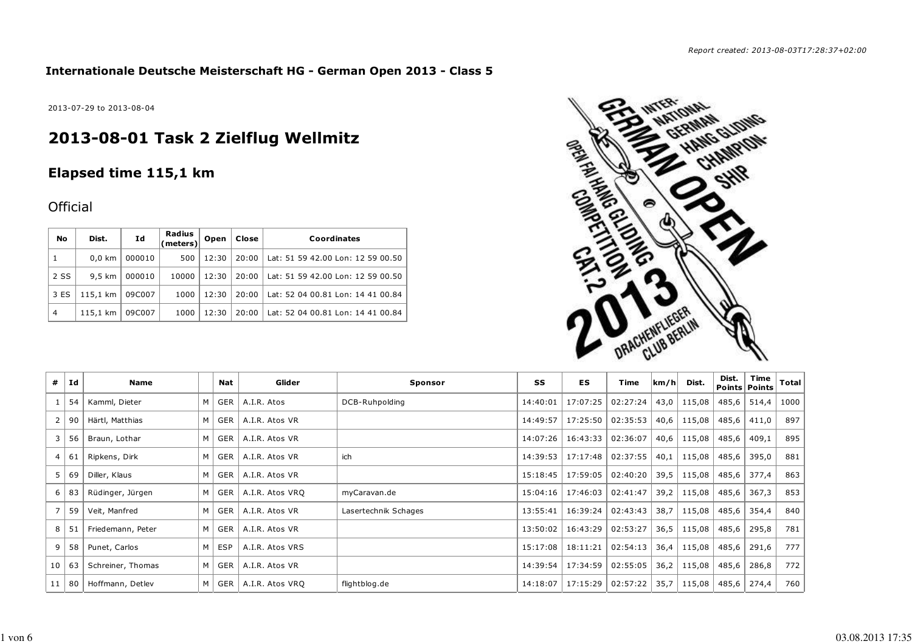### **Internationale Deutsche Meisterschaft HG - German Open 2013 - Class 5**

2013-07-29 to 2013-08-04

# **2013-08-01 Task 2 Zielflug Wellmitz**

# **Elapsed time 115,1 km**

## **Official**

| No             | Dist.            | Id     | Radius<br>(meters) | Open  | Close | Coordinates                       |
|----------------|------------------|--------|--------------------|-------|-------|-----------------------------------|
|                | $0.0 \text{ km}$ | 000010 | 500                | 12:30 | 20:00 | Lat: 51 59 42.00 Lon: 12 59 00.50 |
| 2 SS           | $9.5 \text{ km}$ | 000010 | 10000              | 12:30 | 20:00 | Lat: 51 59 42.00 Lon: 12 59 00.50 |
| 3 ES           | 115,1 km         | 09C007 | 1000               | 12:30 | 20:00 | Lat: 52 04 00.81 Lon: 14 41 00.84 |
| $\overline{4}$ | 115,1 km         | 09C007 | 1000               | 12:30 | 20:00 | Lat: 52 04 00.81 Lon: 14 41 00.84 |



| #               | Ιd   | Name              |   | Nat | Glider          | Sponsor              | SS       | ES       | Time     | km/h | Dist.  | Dist. | Time<br>Points Points | <b>Total</b> |
|-----------------|------|-------------------|---|-----|-----------------|----------------------|----------|----------|----------|------|--------|-------|-----------------------|--------------|
|                 | 54   | Kamml, Dieter     | M | GER | A.I.R. Atos     | DCB-Ruhpolding       | 14:40:01 | 17:07:25 | 02:27:24 | 43,0 | 115,08 | 485,6 | 514,4                 | 1000         |
| $\mathbf{2}$    | 90 I | Härtl, Matthias   | M | GER | A.I.R. Atos VR  |                      | 14:49:57 | 17:25:50 | 02:35:53 | 40,6 | 115,08 | 485,6 | 411,0                 | 897          |
| 3               | 56   | Braun, Lothar     | M | GER | A.I.R. Atos VR  |                      | 14:07:26 | 16:43:33 | 02:36:07 | 40,6 | 115,08 | 485,6 | 409,1                 | 895          |
| $\overline{4}$  | 61   | Ripkens, Dirk     | M | GER | A.I.R. Atos VR  | ich                  | 14:39:53 | 17:17:48 | 02:37:55 | 40,1 | 115,08 | 485,6 | 395,0                 | 881          |
| 5               | 69   | Diller, Klaus     | M | GER | A.I.R. Atos VR  |                      | 15:18:45 | 17:59:05 | 02:40:20 | 39,5 | 115,08 | 485,6 | 377,4                 | 863          |
| 6               | 83   | Rüdinger, Jürgen  | M | GER | A.I.R. Atos VRQ | myCaravan.de         | 15:04:16 | 17:46:03 | 02:41:47 | 39,2 | 115,08 | 485,6 | 367,3                 | 853          |
|                 | 59   | Veit, Manfred     | M | GER | A.I.R. Atos VR  | Lasertechnik Schages | 13:55:41 | 16:39:24 | 02:43:43 | 38,7 | 115,08 | 485,6 | 354,4                 | 840          |
| 8               | 51   | Friedemann, Peter | M | GER | A.I.R. Atos VR  |                      | 13:50:02 | 16:43:29 | 02:53:27 | 36,5 | 115,08 | 485,6 | 295,8                 | 781          |
| 9               | 58   | Punet, Carlos     | M | ESP | A.I.R. Atos VRS |                      | 15:17:08 | 18:11:21 | 02:54:13 | 36,4 | 115,08 | 485,6 | 291,6                 | 777          |
| 10 <sup>1</sup> | 63   | Schreiner, Thomas | M | GER | A.I.R. Atos VR  |                      | 14:39:54 | 17:34:59 | 02:55:05 | 36,2 | 115,08 | 485,6 | 286,8                 | 772          |
| 11              | 80   | Hoffmann, Detlev  | M | GER | A.I.R. Atos VRQ | flightblog.de        | 14:18:07 | 17:15:29 | 02:57:22 | 35,7 | 115,08 | 485,6 | 274,4                 | 760          |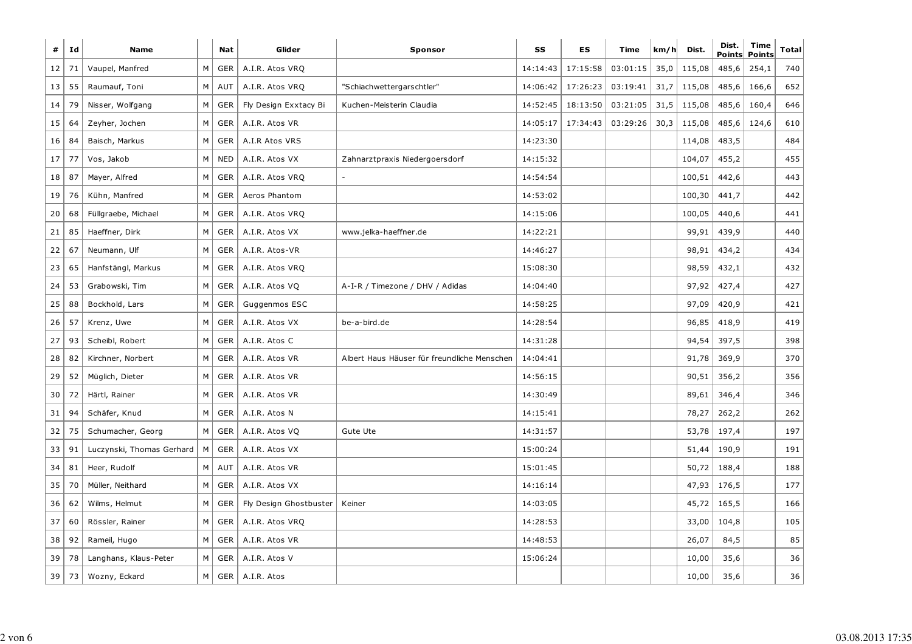| #               | Id | <b>Name</b>               |   | <b>Nat</b> | Glider                 | <b>Sponsor</b>                              | SS       | ES       | Time     | km/h | Dist.  | Dist.<br><b>Points</b> | <b>Time</b><br><b>Points</b> | <b>Total</b> |
|-----------------|----|---------------------------|---|------------|------------------------|---------------------------------------------|----------|----------|----------|------|--------|------------------------|------------------------------|--------------|
| 12              | 71 | Vaupel, Manfred           | М | GER        | A.I.R. Atos VRQ        |                                             | 14:14:43 | 17:15:58 | 03:01:15 | 35,0 | 115,08 | 485,6                  | 254,1                        | 740          |
| 13              | 55 | Raumauf, Toni             | М | AUT        | A.I.R. Atos VRQ        | "Schiachwettergarschtler"                   | 14:06:42 | 17:26:23 | 03:19:41 | 31,7 | 115,08 | 485,6                  | 166,6                        | 652          |
| 14              | 79 | Nisser, Wolfgang          | М | GER        | Fly Design Exxtacy Bi  | Kuchen-Meisterin Claudia                    | 14:52:45 | 18:13:50 | 03:21:05 | 31,5 | 115,08 | 485,6                  | 160,4                        | 646          |
| 15              | 64 | Zeyher, Jochen            | М | <b>GER</b> | A.I.R. Atos VR         |                                             | 14:05:17 | 17:34:43 | 03:29:26 | 30,3 | 115,08 | 485,6                  | 124,6                        | 610          |
| 16              | 84 | Baisch, Markus            | М | <b>GER</b> | A.I.R Atos VRS         |                                             | 14:23:30 |          |          |      | 114,08 | 483,5                  |                              | 484          |
| 17              | 77 | Vos, Jakob                | М | <b>NED</b> | A.I.R. Atos VX         | Zahnarztpraxis Niedergoersdorf              | 14:15:32 |          |          |      | 104,07 | 455,2                  |                              | 455          |
| 18 <sup>1</sup> | 87 | Mayer, Alfred             | М | <b>GER</b> | A.I.R. Atos VRQ        |                                             | 14:54:54 |          |          |      | 100,51 | 442,6                  |                              | 443          |
| 19              | 76 | Kühn, Manfred             | М | <b>GER</b> | Aeros Phantom          |                                             | 14:53:02 |          |          |      | 100,30 | 441,7                  |                              | 442          |
| 20              | 68 | Füllgraebe, Michael       | М | GER        | A.I.R. Atos VRQ        |                                             | 14:15:06 |          |          |      | 100,05 | 440,6                  |                              | 441          |
| 21              | 85 | Haeffner, Dirk            | М | GER        | A.I.R. Atos VX         | www.jelka-haeffner.de                       | 14:22:21 |          |          |      | 99,91  | 439,9                  |                              | 440          |
| 22              | 67 | Neumann, Ulf              | М | GER        | A.I.R. Atos-VR         |                                             | 14:46:27 |          |          |      | 98,91  | 434,2                  |                              | 434          |
| 23              | 65 | Hanfstängl, Markus        | M | <b>GER</b> | A.I.R. Atos VRQ        |                                             | 15:08:30 |          |          |      | 98,59  | 432,1                  |                              | 432          |
| 24              | 53 | Grabowski, Tim            | М | GER        | A.I.R. Atos VO         | A-I-R / Timezone / DHV / Adidas             | 14:04:40 |          |          |      | 97,92  | 427,4                  |                              | 427          |
| 25              | 88 | Bockhold, Lars            | M | <b>GER</b> | Guggenmos ESC          |                                             | 14:58:25 |          |          |      | 97,09  | 420,9                  |                              | 421          |
| 26              | 57 | Krenz, Uwe                | М | <b>GER</b> | A.I.R. Atos VX         | be-a-bird.de                                | 14:28:54 |          |          |      | 96,85  | 418,9                  |                              | 419          |
| 27              | 93 | Scheibl, Robert           | М | <b>GER</b> | A.I.R. Atos C          |                                             | 14:31:28 |          |          |      | 94,54  | 397,5                  |                              | 398          |
| 28              | 82 | Kirchner, Norbert         | М | <b>GER</b> | A.I.R. Atos VR         | Albert Haus Häuser für freundliche Menschen | 14:04:41 |          |          |      | 91,78  | 369,9                  |                              | 370          |
| 29              | 52 | Müglich, Dieter           | М | <b>GER</b> | A.I.R. Atos VR         |                                             | 14:56:15 |          |          |      | 90,51  | 356,2                  |                              | 356          |
| 30              | 72 | Härtl, Rainer             | М | <b>GER</b> | A.I.R. Atos VR         |                                             | 14:30:49 |          |          |      | 89,61  | 346,4                  |                              | 346          |
| 31              | 94 | Schäfer, Knud             | М | <b>GER</b> | A.I.R. Atos N          |                                             | 14:15:41 |          |          |      | 78,27  | 262,2                  |                              | 262          |
| 32              | 75 | Schumacher, Georg         | М | <b>GER</b> | A.I.R. Atos VQ         | Gute Ute                                    | 14:31:57 |          |          |      | 53,78  | 197,4                  |                              | 197          |
| 33              | 91 | Luczynski, Thomas Gerhard | М | <b>GER</b> | A.I.R. Atos VX         |                                             | 15:00:24 |          |          |      | 51,44  | 190,9                  |                              | 191          |
| 34              | 81 | Heer, Rudolf              | М | AUT        | A.I.R. Atos VR         |                                             | 15:01:45 |          |          |      | 50,72  | 188,4                  |                              | 188          |
| 35              | 70 | Müller, Neithard          | М | <b>GER</b> | A.I.R. Atos VX         |                                             | 14:16:14 |          |          |      | 47,93  | 176,5                  |                              | 177          |
| 36              | 62 | Wilms, Helmut             | М | GER        | Fly Design Ghostbuster | Keiner                                      | 14:03:05 |          |          |      | 45,72  | 165,5                  |                              | 166          |
| 37              | 60 | Rössler, Rainer           | М | <b>GER</b> | A.I.R. Atos VRQ        |                                             | 14:28:53 |          |          |      | 33,00  | 104,8                  |                              | 105          |
| 38              | 92 | Rameil, Hugo              | M | <b>GER</b> | A.I.R. Atos VR         |                                             | 14:48:53 |          |          |      | 26,07  | 84,5                   |                              | 85           |
| 39              | 78 | Langhans, Klaus-Peter     | М | <b>GER</b> | A.I.R. Atos V          |                                             | 15:06:24 |          |          |      | 10,00  | 35,6                   |                              | 36           |
| 39              | 73 | Wozny, Eckard             | М | <b>GER</b> | A.I.R. Atos            |                                             |          |          |          |      | 10,00  | 35,6                   |                              | 36           |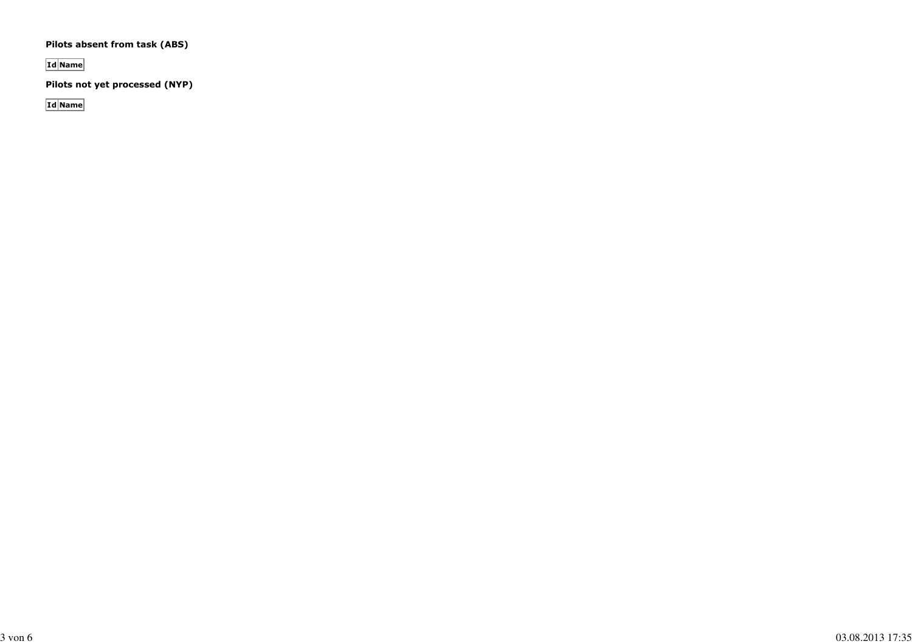#### **Pilots absent from task (ABS)**

**Id Name**

**Pilots not yet processed (NYP)**

**Id Name**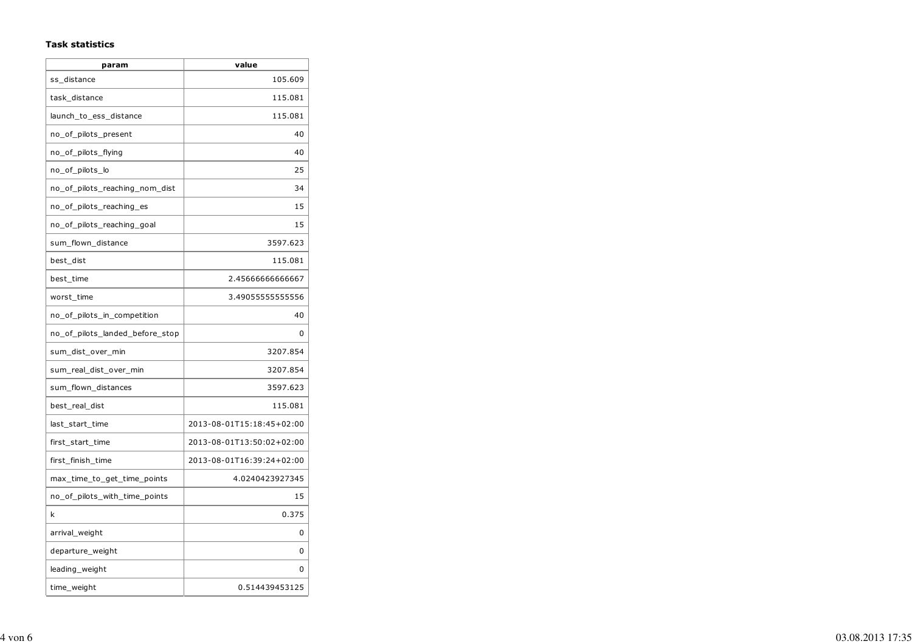#### **Task statistics**

| param                           | value                     |
|---------------------------------|---------------------------|
| ss distance                     | 105.609                   |
| task distance                   | 115.081                   |
| launch_to_ess_distance          | 115.081                   |
| no_of_pilots_present            | 40                        |
| no_of_pilots_flying             | 40                        |
| no_of_pilots_lo                 | 25                        |
| no_of_pilots_reaching_nom_dist  | 34                        |
| no_of_pilots_reaching_es        | 15                        |
| no_of_pilots_reaching_goal      | 15                        |
| sum flown distance              | 3597.623                  |
| best dist                       | 115.081                   |
| best_time                       | 2.4566666666667           |
| worst_time                      | 3.49055555555556          |
| no_of_pilots_in_competition     | 40                        |
| no_of_pilots_landed_before_stop | $\Omega$                  |
| sum_dist_over_min               | 3207.854                  |
| sum_real_dist_over_min          | 3207.854                  |
| sum_flown_distances             | 3597.623                  |
| best_real_dist                  | 115.081                   |
| last_start_time                 | 2013-08-01T15:18:45+02:00 |
| first_start_time                | 2013-08-01T13:50:02+02:00 |
| first_finish_time               | 2013-08-01T16:39:24+02:00 |
| max_time_to_get_time_points     | 4.0240423927345           |
| no_of_pilots_with_time_points   | 15                        |
| k                               | 0.375                     |
| arrival_weight                  | 0                         |
| departure_weight                | 0                         |
| leading_weight                  | 0                         |
| time_weight                     | 0.514439453125            |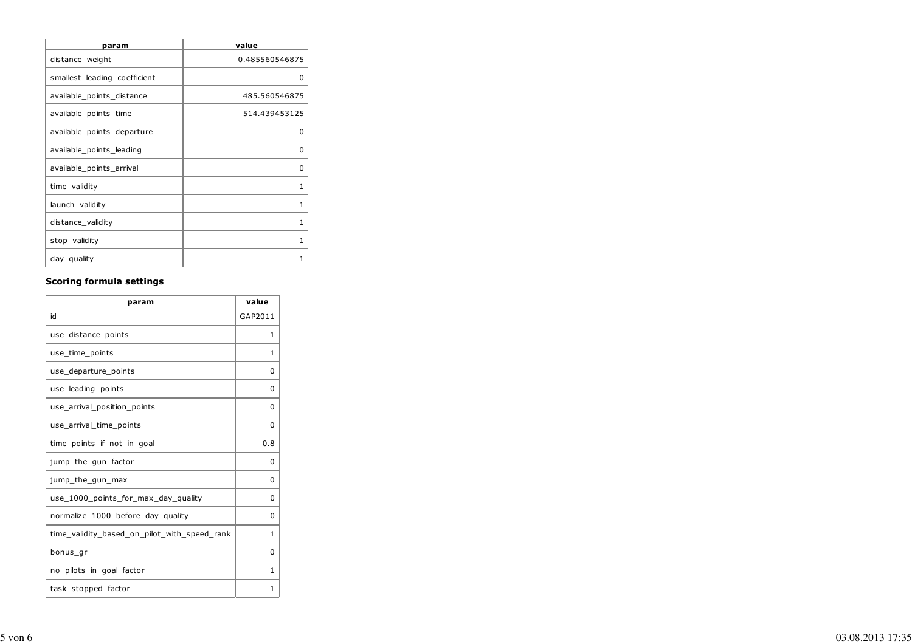| param                        | value          |
|------------------------------|----------------|
| distance_weight              | 0.485560546875 |
| smallest leading coefficient | 0              |
| available_points_distance    | 485.560546875  |
| available_points_time        | 514.439453125  |
| available_points_departure   | O              |
| available_points_leading     | ŋ              |
| available_points_arrival     | O              |
| time_validity                | 1              |
| launch_validity              | 1              |
| distance_validity            | 1              |
| stop_validity                | 1              |
| day_quality                  | 1              |

### **Scoring formula settings**

| param                                        | value    |  |  |
|----------------------------------------------|----------|--|--|
| id                                           | GAP2011  |  |  |
| use_distance_points                          | 1        |  |  |
| use_time_points                              | 1        |  |  |
| use_departure_points                         | 0        |  |  |
| use_leading_points                           | 0        |  |  |
| use arrival position points                  | $\Omega$ |  |  |
| use_arrival_time_points                      | 0        |  |  |
| time_points_if_not_in_goal                   | 0.8      |  |  |
| jump_the_gun_factor                          | O        |  |  |
| jump_the_gun_max                             | 0        |  |  |
| use_1000_points_for_max_day_quality          | $\Omega$ |  |  |
| normalize_1000_before_day_quality            | 0        |  |  |
| time_validity_based_on_pilot_with_speed_rank | 1        |  |  |
| bonus_gr                                     | 0        |  |  |
| no_pilots_in_goal_factor                     | 1        |  |  |
| task_stopped_factor                          | 1        |  |  |